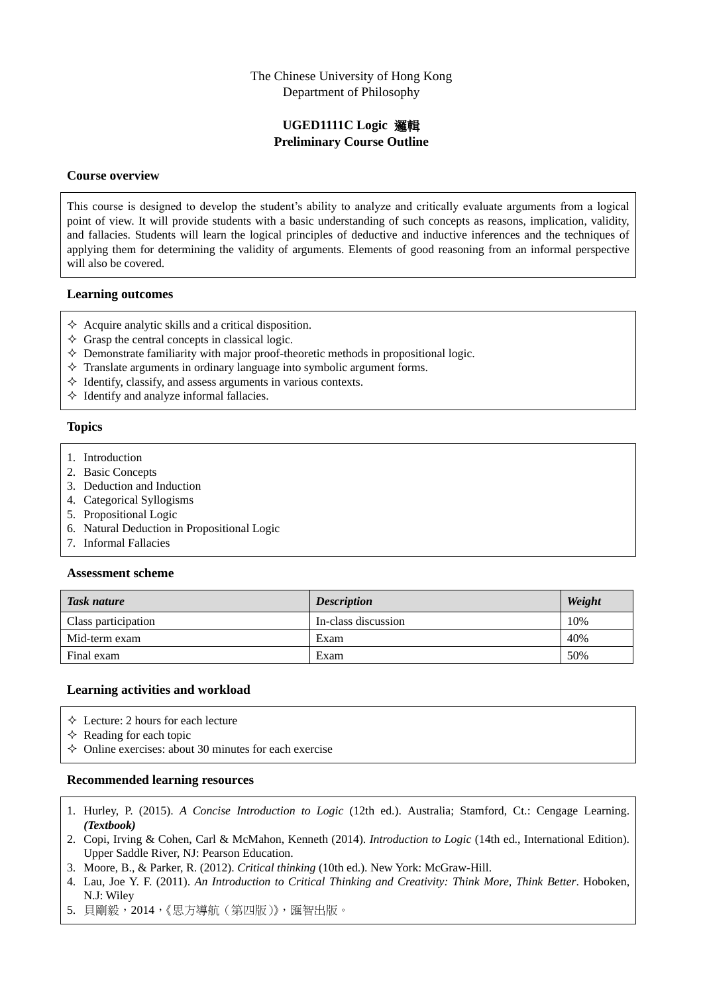## The Chinese University of Hong Kong Department of Philosophy

# **UGED1111C Logic** 邏輯 **Preliminary Course Outline**

### **Course overview**

This course is designed to develop the student's ability to analyze and critically evaluate arguments from a logical point of view. It will provide students with a basic understanding of such concepts as reasons, implication, validity, and fallacies. Students will learn the logical principles of deductive and inductive inferences and the techniques of applying them for determining the validity of arguments. Elements of good reasoning from an informal perspective will also be covered.

### **Learning outcomes**

- $\Diamond$  Acquire analytic skills and a critical disposition.
- $\Diamond$  Grasp the central concepts in classical logic.
- $\Diamond$  Demonstrate familiarity with major proof-theoretic methods in propositional logic.
- $\Diamond$  Translate arguments in ordinary language into symbolic argument forms.
- $\Diamond$  Identify, classify, and assess arguments in various contexts.
- $\Diamond$  Identify and analyze informal fallacies.

### **Topics**

- 1. Introduction
- 2. Basic Concepts
- 3. Deduction and Induction
- 4. Categorical Syllogisms
- 5. Propositional Logic
- 6. Natural Deduction in Propositional Logic
- 7. Informal Fallacies

### **Assessment scheme**

| Task nature         | <b>Description</b>  | Weight |
|---------------------|---------------------|--------|
| Class participation | In-class discussion | 10%    |
| Mid-term exam       | Exam                | 40%    |
| Final exam          | Exam                | 50%    |

## **Learning activities and workload**

 $\Diamond$  Lecture: 2 hours for each lecture

 $\Diamond$  Reading for each topic

 $\Diamond$  Online exercises: about 30 minutes for each exercise

### **Recommended learning resources**

- 1. Hurley, P. (2015). *A Concise Introduction to Logic* (12th ed.). Australia; Stamford, Ct.: Cengage Learning. *(Textbook)*
- 2. Copi, Irving & Cohen, Carl & McMahon, Kenneth (2014). *Introduction to Logic* (14th ed., International Edition). Upper Saddle River, NJ: Pearson Education.
- 3. Moore, B., & Parker, R. (2012). *Critical thinking* (10th ed.). New York: McGraw-Hill.
- 4. Lau, Joe Y. F. (2011). *An Introduction to Critical Thinking and Creativity: Think More, Think Better*. Hoboken, N.J: Wiley
- 5. 貝剛毅,2014,《思方導航(第四版)》,匯智出版。